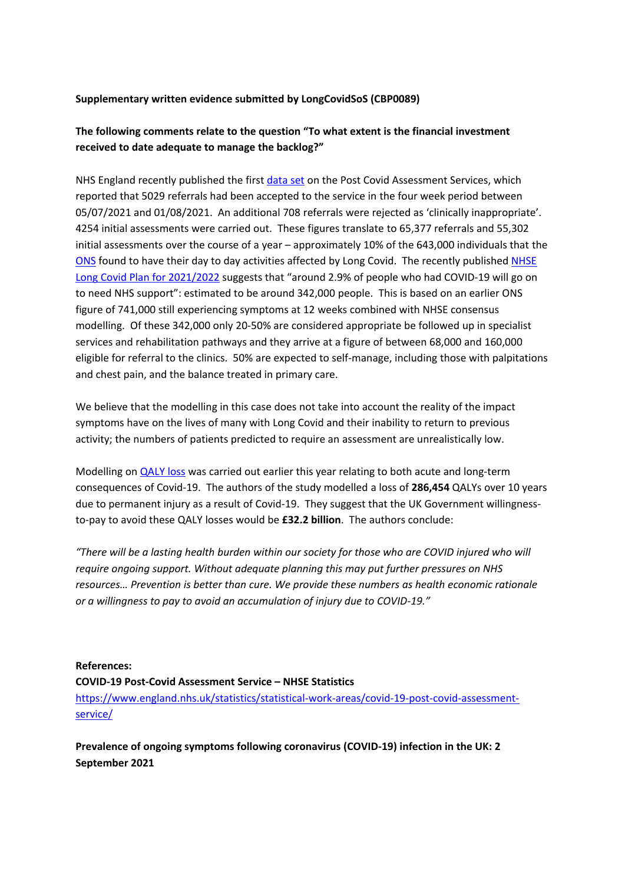#### **Supplementary written evidence submitted by LongCovidSoS (CBP0089)**

## **The following comments relate to the question "To what extent is the financial investment received to date adequate to manage the backlog?"**

NHS England recently published the first [data](https://www.england.nhs.uk/statistics/statistical-work-areas/covid-19-post-covid-assessment-service/) [set](https://www.england.nhs.uk/statistics/statistical-work-areas/covid-19-post-covid-assessment-service/) on the Post Covid Assessment Services, which reported that 5029 referrals had been accepted to the service in the four week period between 05/07/2021 and 01/08/2021. An additional 708 referrals were rejected as 'clinically inappropriate'. 4254 initial assessments were carried out. These figures translate to 65,377 referrals and 55,302 initial assessments over the course of a year – approximately 10% of the 643,000 individuals that the [ONS](https://www.ons.gov.uk/peoplepopulationandcommunity/healthandsocialcare/conditionsanddiseases/bulletins/prevalenceofongoingsymptomsfollowingcoronaviruscovid19infectionintheuk/2september2021) found to have their day to day activities affected by Long Covid. The recently published [NHSE](https://www.england.nhs.uk/coronavirus/wp-content/uploads/sites/52/2021/06/C1312-long-covid-plan-june-2021.pdf) [Long](https://www.england.nhs.uk/coronavirus/wp-content/uploads/sites/52/2021/06/C1312-long-covid-plan-june-2021.pdf) [Covid](https://www.england.nhs.uk/coronavirus/wp-content/uploads/sites/52/2021/06/C1312-long-covid-plan-june-2021.pdf) [Plan](https://www.england.nhs.uk/coronavirus/wp-content/uploads/sites/52/2021/06/C1312-long-covid-plan-june-2021.pdf) [for](https://www.england.nhs.uk/coronavirus/wp-content/uploads/sites/52/2021/06/C1312-long-covid-plan-june-2021.pdf) [2021/2022](https://www.england.nhs.uk/coronavirus/wp-content/uploads/sites/52/2021/06/C1312-long-covid-plan-june-2021.pdf) suggests that "around 2.9% of people who had COVID-19 will go on to need NHS support": estimated to be around 342,000 people. This is based on an earlier ONS figure of 741,000 still experiencing symptoms at 12 weeks combined with NHSE consensus modelling. Of these 342,000 only 20-50% are considered appropriate be followed up in specialist services and rehabilitation pathways and they arrive at a figure of between 68,000 and 160,000 eligible for referral to the clinics. 50% are expected to self-manage, including those with palpitations and chest pain, and the balance treated in primary care.

We believe that the modelling in this case does not take into account the reality of the impact symptoms have on the lives of many with Long Covid and their inability to return to previous activity; the numbers of patients predicted to require an assessment are unrealistically low.

Modelling on [QALY](https://www.medrxiv.org/content/10.1101/2021.05.18.21252341v1) [loss](https://www.medrxiv.org/content/10.1101/2021.05.18.21252341v1) was carried out earlier this year relating to both acute and long-term consequences of Covid-19. The authors of the study modelled a loss of **286,454** QALYs over 10 years due to permanent injury as a result of Covid-19. They suggest that the UK Government willingnessto-pay to avoid these QALY losses would be **£32.2 billion**. The authors conclude:

*"There will be a lasting health burden within our society for those who are COVID injured who will require ongoing support. Without adequate planning this may put further pressures on NHS resources… Prevention is better than cure. We provide these numbers as health economic rationale or a willingness to pay to avoid an accumulation of injury due to COVID-19."*

# **References: COVID-19 Post-Covid Assessment Service – NHSE Statistics** [https://www.england.nhs.uk/statistics/statistical-work-areas/covid-19-post-covid-assessment-](https://www.england.nhs.uk/statistics/statistical-work-areas/covid-19-post-covid-assessment-service/)

[service/](https://www.england.nhs.uk/statistics/statistical-work-areas/covid-19-post-covid-assessment-service/)

**Prevalence of ongoing symptoms following coronavirus (COVID-19) infection in the UK: 2 September 2021**